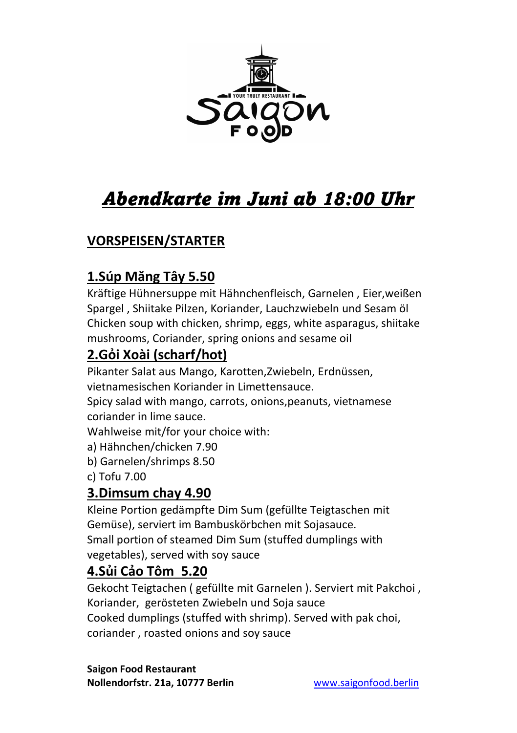

# Abendkarte im Juni ab 18:00 Uhr

# VORSPEISEN/STARTER

# 1.Súp Măng Tây 5.50

Kräftige Hühnersuppe mit Hähnchenfleisch, Garnelen , Eier,weißen Spargel , Shiitake Pilzen, Koriander, Lauchzwiebeln und Sesam öl Chicken soup with chicken, shrimp, eggs, white asparagus, shiitake mushrooms, Coriander, spring onions and sesame oil

# 2.Gỏi Xoài (scharf/hot)

Pikanter Salat aus Mango, Karotten,Zwiebeln, Erdnüssen, vietnamesischen Koriander in Limettensauce.

Spicy salad with mango, carrots, onions,peanuts, vietnamese coriander in lime sauce.

Wahlweise mit/for your choice with:

- a) Hähnchen/chicken 7.90
- b) Garnelen/shrimps 8.50

c) Tofu 7.00

#### 3.Dimsum chay 4.90

Kleine Portion gedämpfte Dim Sum (gefüllte Teigtaschen mit Gemüse), serviert im Bambuskörbchen mit Sojasauce. Small portion of steamed Dim Sum (stuffed dumplings with vegetables), served with soy sauce

## 4.Sủi Cảo Tôm 5.20

Gekocht Teigtachen ( gefüllte mit Garnelen ). Serviert mit Pakchoi , Koriander, gerösteten Zwiebeln und Soja sauce Cooked dumplings (stuffed with shrimp). Served with pak choi, coriander , roasted onions and soy sauce

Saigon Food Restaurant Nollendorfstr. 21a, 10777 Berlin www.saigonfood.berlin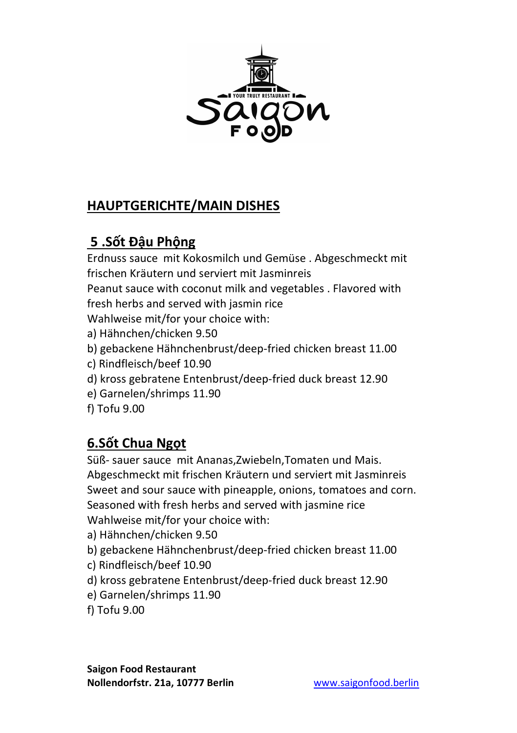

## HAUPTGERICHTE/MAIN DISHES

# 5 .Sốt Đậu Phộng

Erdnuss sauce mit Kokosmilch und Gemüse . Abgeschmeckt mit frischen Kräutern und serviert mit Jasminreis

Peanut sauce with coconut milk and vegetables . Flavored with fresh herbs and served with jasmin rice

Wahlweise mit/for your choice with:

- a) Hähnchen/chicken 9.50
- b) gebackene Hähnchenbrust/deep-fried chicken breast 11.00
- c) Rindfleisch/beef 10.90
- d) kross gebratene Entenbrust/deep-fried duck breast 12.90
- e) Garnelen/shrimps 11.90
- f) Tofu 9.00

## 6.Sốt Chua Ngọt

Süß- sauer sauce mit Ananas,Zwiebeln,Tomaten und Mais. Abgeschmeckt mit frischen Kräutern und serviert mit Jasminreis Sweet and sour sauce with pineapple, onions, tomatoes and corn. Seasoned with fresh herbs and served with jasmine rice Wahlweise mit/for your choice with:

- a) Hähnchen/chicken 9.50
- b) gebackene Hähnchenbrust/deep-fried chicken breast 11.00
- c) Rindfleisch/beef 10.90
- d) kross gebratene Entenbrust/deep-fried duck breast 12.90
- e) Garnelen/shrimps 11.90
- f) Tofu 9.00